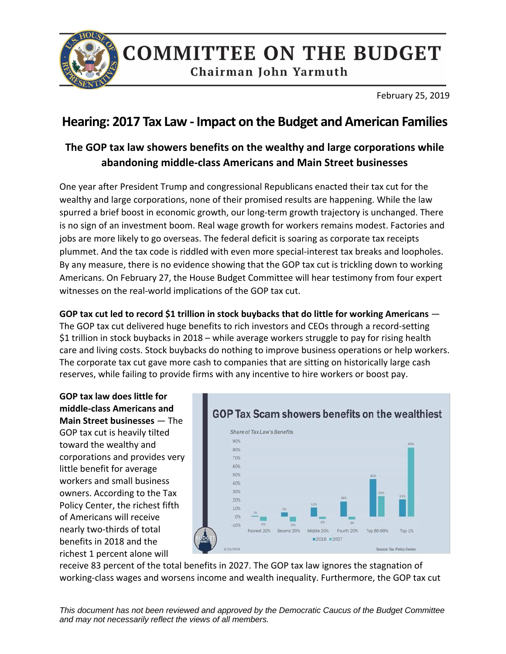

## **COMMITTEE ON THE BUDGET**

Chairman John Yarmuth

February 25, 2019

## **Hearing: 2017 Tax Law - Impact on the Budget and American Families**

## **The GOP tax law showers benefits on the wealthy and large corporations while abandoning middle-class Americans and Main Street businesses**

One year after President Trump and congressional Republicans enacted their tax cut for the wealthy and large corporations, none of their promised results are happening. While the law spurred a brief boost in economic growth, our long-term growth trajectory is unchanged. There is no sign of an investment boom. Real wage growth for workers remains modest. Factories and jobs are more likely to go overseas. The federal deficit is soaring as corporate tax receipts plummet. And the tax code is riddled with even more special-interest tax breaks and loopholes. By any measure, there is no evidence showing that the GOP tax cut is trickling down to working Americans. On February 27, the House Budget Committee will hear testimony from four expert witnesses on the real-world implications of the GOP tax cut.

**GOP tax cut led to record \$1 trillion in stock buybacks that do little for working Americans** *—* The GOP tax cut delivered huge benefits to rich investors and CEOs through a record-setting \$1 trillion in stock buybacks in 2018 – while [average workers struggle to pay for rising health](https://www.marketwatch.com/story/despite-wage-growth-the-average-american-suffers-as-cost-of-living-rises-at-a-faster-pace-2019-01-10)  [care and living costs.](https://www.marketwatch.com/story/despite-wage-growth-the-average-american-suffers-as-cost-of-living-rises-at-a-faster-pace-2019-01-10) Stock buybacks do nothing to improve business operations or help workers. The corporate tax cut gave more cash to companies that are sitting on historically large cash reserves, while failing to provide firms with any incentive to hire workers or boost pay.

**GOP tax law does little for middle-class Americans and Main Street businesses** — The GOP tax cut is heavily tilted toward the wealthy and corporations and provides very little benefit for average workers and small business owners. According to the Tax Policy Center, the richest fifth of Americans will receive nearly two-thirds of total benefits in 2018 and the richest 1 percent alone will



receive 83 percent of the total benefits in 2027. [The GOP tax law ignores the stagnation of](https://www.cbpp.org/research/federal-tax/new-tax-law-is-fundamentally-flawed-and-will-require-basic-restructuring)  [working-class wages and worsens income and wealth inequality.](https://www.cbpp.org/research/federal-tax/new-tax-law-is-fundamentally-flawed-and-will-require-basic-restructuring) Furthermore, the GOP tax cut

*This document has not been reviewed and approved by the Democratic Caucus of the Budget Committee and may not necessarily reflect the views of all members.*